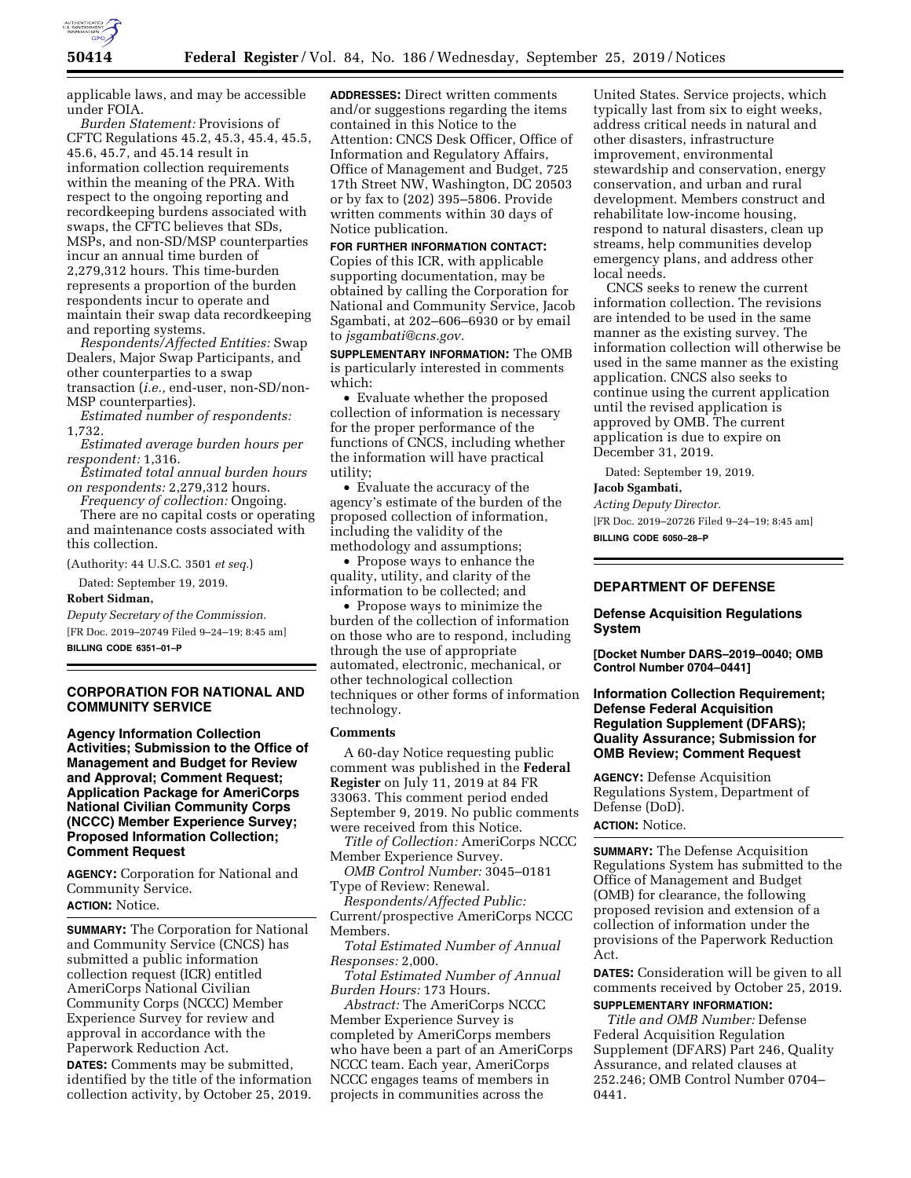

applicable laws, and may be accessible under FOIA.

*Burden Statement:* Provisions of CFTC Regulations 45.2, 45.3, 45.4, 45.5, 45.6, 45.7, and 45.14 result in information collection requirements within the meaning of the PRA. With respect to the ongoing reporting and recordkeeping burdens associated with swaps, the CFTC believes that SDs, MSPs, and non-SD/MSP counterparties incur an annual time burden of 2,279,312 hours. This time-burden represents a proportion of the burden respondents incur to operate and maintain their swap data recordkeeping and reporting systems.

*Respondents/Affected Entities:* Swap Dealers, Major Swap Participants, and other counterparties to a swap transaction (*i.e.,* end-user, non-SD/non-MSP counterparties).

*Estimated number of respondents:*  1,732.

*Estimated average burden hours per respondent:* 1,316.

*Estimated total annual burden hours on respondents:* 2,279,312 hours.

*Frequency of collection:* Ongoing. There are no capital costs or operating and maintenance costs associated with this collection.

(Authority: 44 U.S.C. 3501 *et seq.*)

Dated: September 19, 2019.

### **Robert Sidman,**

*Deputy Secretary of the Commission.*  [FR Doc. 2019–20749 Filed 9–24–19; 8:45 am]

**BILLING CODE 6351–01–P** 

### **CORPORATION FOR NATIONAL AND COMMUNITY SERVICE**

**Agency Information Collection Activities; Submission to the Office of Management and Budget for Review and Approval; Comment Request; Application Package for AmeriCorps National Civilian Community Corps (NCCC) Member Experience Survey; Proposed Information Collection; Comment Request** 

**AGENCY:** Corporation for National and Community Service. **ACTION:** Notice.

**SUMMARY:** The Corporation for National and Community Service (CNCS) has submitted a public information collection request (ICR) entitled AmeriCorps National Civilian Community Corps (NCCC) Member Experience Survey for review and approval in accordance with the Paperwork Reduction Act.

**DATES:** Comments may be submitted, identified by the title of the information collection activity, by October 25, 2019. **ADDRESSES:** Direct written comments and/or suggestions regarding the items contained in this Notice to the Attention: CNCS Desk Officer, Office of Information and Regulatory Affairs, Office of Management and Budget, 725 17th Street NW, Washington, DC 20503 or by fax to (202) 395–5806. Provide written comments within 30 days of Notice publication.

**FOR FURTHER INFORMATION CONTACT:**  Copies of this ICR, with applicable supporting documentation, may be obtained by calling the Corporation for National and Community Service, Jacob Sgambati, at 202–606–6930 or by email to *[jsgambati@cns.gov.](mailto:jsgambati@cns.gov)* 

**SUPPLEMENTARY INFORMATION:** The OMB is particularly interested in comments which:

• Evaluate whether the proposed collection of information is necessary for the proper performance of the functions of CNCS, including whether the information will have practical utility;

• Evaluate the accuracy of the agency's estimate of the burden of the proposed collection of information, including the validity of the methodology and assumptions;

• Propose ways to enhance the quality, utility, and clarity of the information to be collected; and

• Propose ways to minimize the burden of the collection of information on those who are to respond, including through the use of appropriate automated, electronic, mechanical, or other technological collection techniques or other forms of information technology.

### **Comments**

A 60-day Notice requesting public comment was published in the **Federal Register** on July 11, 2019 at 84 FR 33063. This comment period ended September 9, 2019. No public comments were received from this Notice.

*Title of Collection:* AmeriCorps NCCC Member Experience Survey.

*OMB Control Number:* 3045–0181 Type of Review: Renewal.

*Respondents/Affected Public:*  Current/prospective AmeriCorps NCCC Members.

*Total Estimated Number of Annual Responses:* 2,000.

*Total Estimated Number of Annual Burden Hours:* 173 Hours.

*Abstract:* The AmeriCorps NCCC Member Experience Survey is completed by AmeriCorps members who have been a part of an AmeriCorps NCCC team. Each year, AmeriCorps NCCC engages teams of members in projects in communities across the

United States. Service projects, which typically last from six to eight weeks, address critical needs in natural and other disasters, infrastructure improvement, environmental stewardship and conservation, energy conservation, and urban and rural development. Members construct and rehabilitate low-income housing, respond to natural disasters, clean up streams, help communities develop emergency plans, and address other local needs.

CNCS seeks to renew the current information collection. The revisions are intended to be used in the same manner as the existing survey. The information collection will otherwise be used in the same manner as the existing application. CNCS also seeks to continue using the current application until the revised application is approved by OMB. The current application is due to expire on December 31, 2019.

Dated: September 19, 2019. **Jacob Sgambati,** 

*Acting Deputy Director.* 

[FR Doc. 2019–20726 Filed 9–24–19; 8:45 am] **BILLING CODE 6050–28–P** 

### **DEPARTMENT OF DEFENSE**

### **Defense Acquisition Regulations System**

**[Docket Number DARS–2019–0040; OMB Control Number 0704–0441]** 

### **Information Collection Requirement; Defense Federal Acquisition Regulation Supplement (DFARS); Quality Assurance; Submission for OMB Review; Comment Request**

**AGENCY:** Defense Acquisition Regulations System, Department of Defense (DoD).

# **ACTION:** Notice.

**SUMMARY:** The Defense Acquisition Regulations System has submitted to the Office of Management and Budget (OMB) for clearance, the following proposed revision and extension of a collection of information under the provisions of the Paperwork Reduction Act.

**DATES:** Consideration will be given to all comments received by October 25, 2019.

## **SUPPLEMENTARY INFORMATION:**

*Title and OMB Number:* Defense Federal Acquisition Regulation Supplement (DFARS) Part 246, Quality Assurance, and related clauses at 252.246; OMB Control Number 0704– 0441.